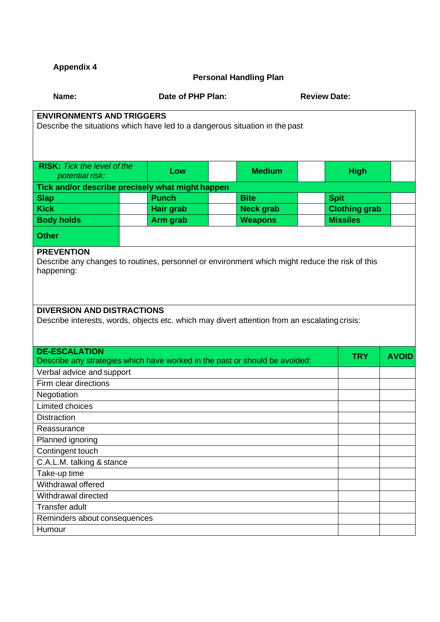**Appendix 4**

## **Personal Handling Plan**

| Name:                                                                                          |                  | Date of PHP Plan: |             |                      | <b>Review Date:</b> |  |  |  |  |  |
|------------------------------------------------------------------------------------------------|------------------|-------------------|-------------|----------------------|---------------------|--|--|--|--|--|
| <b>ENVIRONMENTS AND TRIGGERS</b>                                                               |                  |                   |             |                      |                     |  |  |  |  |  |
| Describe the situations which have led to a dangerous situation in the past                    |                  |                   |             |                      |                     |  |  |  |  |  |
|                                                                                                |                  |                   |             |                      |                     |  |  |  |  |  |
|                                                                                                |                  |                   |             |                      |                     |  |  |  |  |  |
| <b>RISK:</b> Tick the level of the                                                             |                  |                   |             |                      |                     |  |  |  |  |  |
| potential risk:                                                                                | Low              | <b>Medium</b>     |             | <b>High</b>          |                     |  |  |  |  |  |
| Tick and/or describe precisely what might happen                                               |                  |                   |             |                      |                     |  |  |  |  |  |
| <b>Slap</b>                                                                                    | <b>Punch</b>     | <b>Bite</b>       | <b>Spit</b> |                      |                     |  |  |  |  |  |
| <b>Kick</b>                                                                                    | <b>Hair grab</b> | <b>Neck grab</b>  |             | <b>Clothing grab</b> |                     |  |  |  |  |  |
| <b>Body holds</b>                                                                              | Arm grab         | <b>Weapons</b>    |             | <b>Missiles</b>      |                     |  |  |  |  |  |
| <b>Other</b>                                                                                   |                  |                   |             |                      |                     |  |  |  |  |  |
| <b>PREVENTION</b>                                                                              |                  |                   |             |                      |                     |  |  |  |  |  |
| Describe any changes to routines, personnel or environment which might reduce the risk of this |                  |                   |             |                      |                     |  |  |  |  |  |
| happening:                                                                                     |                  |                   |             |                      |                     |  |  |  |  |  |
|                                                                                                |                  |                   |             |                      |                     |  |  |  |  |  |
|                                                                                                |                  |                   |             |                      |                     |  |  |  |  |  |
| <b>DIVERSION AND DISTRACTIONS</b>                                                              |                  |                   |             |                      |                     |  |  |  |  |  |
| Describe interests, words, objects etc. which may divert attention from an escalating crisis:  |                  |                   |             |                      |                     |  |  |  |  |  |
|                                                                                                |                  |                   |             |                      |                     |  |  |  |  |  |
| <b>DE-ESCALATION</b>                                                                           |                  |                   |             |                      |                     |  |  |  |  |  |
| Describe any strategies which have worked in the past or should be avoided:                    | <b>TRY</b>       | <b>AVOID</b>      |             |                      |                     |  |  |  |  |  |
| Verbal advice and support                                                                      |                  |                   |             |                      |                     |  |  |  |  |  |
| Firm clear directions                                                                          |                  |                   |             |                      |                     |  |  |  |  |  |
| Negotiation                                                                                    |                  |                   |             |                      |                     |  |  |  |  |  |
| <b>Limited choices</b>                                                                         |                  |                   |             |                      |                     |  |  |  |  |  |
| <b>Distraction</b>                                                                             |                  |                   |             |                      |                     |  |  |  |  |  |
| Reassurance                                                                                    |                  |                   |             |                      |                     |  |  |  |  |  |
| Planned ignoring                                                                               |                  |                   |             |                      |                     |  |  |  |  |  |
| Contingent touch                                                                               |                  |                   |             |                      |                     |  |  |  |  |  |
| C.A.L.M. talking & stance                                                                      |                  |                   |             |                      |                     |  |  |  |  |  |
| Take-up time                                                                                   |                  |                   |             |                      |                     |  |  |  |  |  |
| Withdrawal offered                                                                             |                  |                   |             |                      |                     |  |  |  |  |  |
| Withdrawal directed                                                                            |                  |                   |             |                      |                     |  |  |  |  |  |
| Transfer adult                                                                                 |                  |                   |             |                      |                     |  |  |  |  |  |
| Reminders about consequences                                                                   |                  |                   |             |                      |                     |  |  |  |  |  |
| Humour                                                                                         |                  |                   |             |                      |                     |  |  |  |  |  |